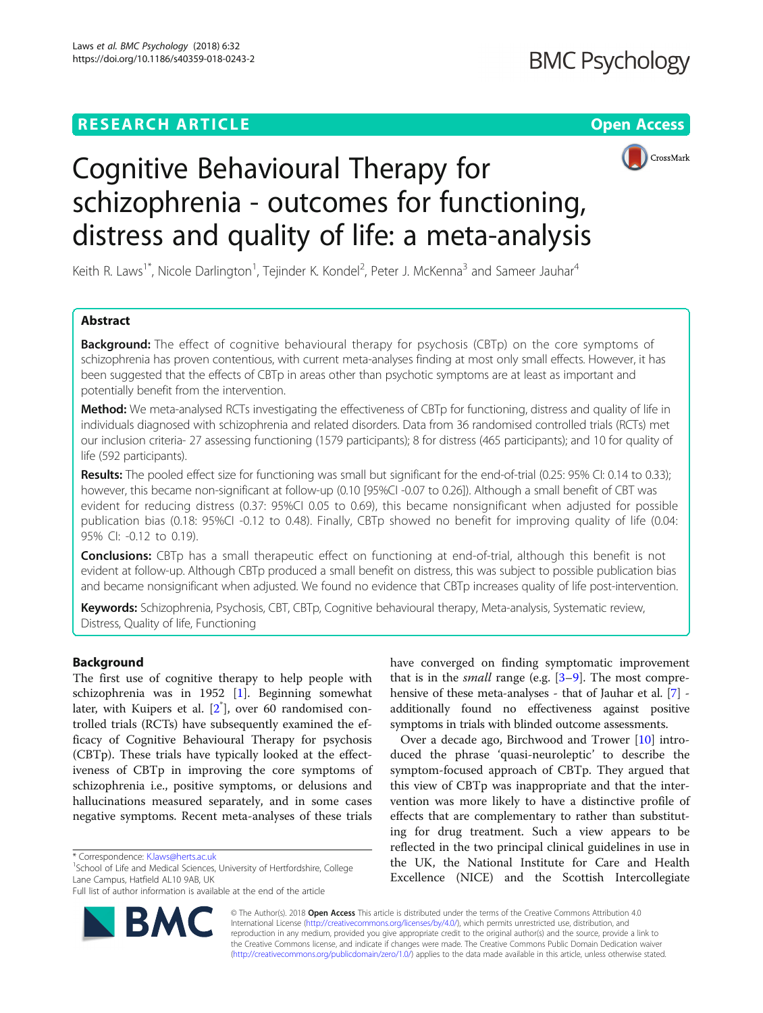## **RESEARCH ARTICLE Example 2018 12:30 THE Open Access**





# Cognitive Behavioural Therapy for schizophrenia - outcomes for functioning, distress and quality of life: a meta-analysis

Keith R. Laws<sup>1\*</sup>, Nicole Darlington<sup>1</sup>, Tejinder K. Kondel<sup>2</sup>, Peter J. McKenna<sup>3</sup> and Sameer Jauhar<sup>4</sup>

## Abstract

**Background:** The effect of cognitive behavioural therapy for psychosis (CBTp) on the core symptoms of schizophrenia has proven contentious, with current meta-analyses finding at most only small effects. However, it has been suggested that the effects of CBTp in areas other than psychotic symptoms are at least as important and potentially benefit from the intervention.

Method: We meta-analysed RCTs investigating the effectiveness of CBTp for functioning, distress and quality of life in individuals diagnosed with schizophrenia and related disorders. Data from 36 randomised controlled trials (RCTs) met our inclusion criteria- 27 assessing functioning (1579 participants); 8 for distress (465 participants); and 10 for quality of life (592 participants).

Results: The pooled effect size for functioning was small but significant for the end-of-trial (0.25: 95% CI: 0.14 to 0.33); however, this became non-significant at follow-up (0.10 [95%CI -0.07 to 0.26]). Although a small benefit of CBT was evident for reducing distress (0.37: 95%CI 0.05 to 0.69), this became nonsignificant when adjusted for possible publication bias (0.18: 95%CI -0.12 to 0.48). Finally, CBTp showed no benefit for improving quality of life (0.04: 95% CI: -0.12 to 0.19).

**Conclusions:** CBTp has a small therapeutic effect on functioning at end-of-trial, although this benefit is not evident at follow-up. Although CBTp produced a small benefit on distress, this was subject to possible publication bias and became nonsignificant when adjusted. We found no evidence that CBTp increases quality of life post-intervention.

Keywords: Schizophrenia, Psychosis, CBT, CBTp, Cognitive behavioural therapy, Meta-analysis, Systematic review, Distress, Quality of life, Functioning

## Background

The first use of cognitive therapy to help people with schizophrenia was in 1952 [\[1\]](#page-7-0). Beginning somewhat later, with Kuipers et al. [2<sup>\*</sup>], over 60 randomised controlled trials (RCTs) have subsequently examined the efficacy of Cognitive Behavioural Therapy for psychosis (CBTp). These trials have typically looked at the effectiveness of CBTp in improving the core symptoms of schizophrenia i.e., positive symptoms, or delusions and hallucinations measured separately, and in some cases negative symptoms. Recent meta-analyses of these trials

<sup>1</sup>School of Life and Medical Sciences, University of Hertfordshire, College Lane Campus, Hatfield AL10 9AB, UK

Full list of author information is available at the end of the article



have converged on finding symptomatic improvement that is in the *small* range (e.g.  $[3-9]$  $[3-9]$  $[3-9]$  $[3-9]$ . The most comprehensive of these meta-analyses - that of Jauhar et al. [[7\]](#page-8-0) additionally found no effectiveness against positive symptoms in trials with blinded outcome assessments.

Over a decade ago, Birchwood and Trower [[10](#page-8-0)] introduced the phrase 'quasi-neuroleptic' to describe the symptom-focused approach of CBTp. They argued that this view of CBTp was inappropriate and that the intervention was more likely to have a distinctive profile of effects that are complementary to rather than substituting for drug treatment. Such a view appears to be reflected in the two principal clinical guidelines in use in the UK, the National Institute for Care and Health Excellence (NICE) and the Scottish Intercollegiate

© The Author(s). 2018 Open Access This article is distributed under the terms of the Creative Commons Attribution 4.0 International License [\(http://creativecommons.org/licenses/by/4.0/](http://creativecommons.org/licenses/by/4.0/)), which permits unrestricted use, distribution, and reproduction in any medium, provided you give appropriate credit to the original author(s) and the source, provide a link to the Creative Commons license, and indicate if changes were made. The Creative Commons Public Domain Dedication waiver [\(http://creativecommons.org/publicdomain/zero/1.0/](http://creativecommons.org/publicdomain/zero/1.0/)) applies to the data made available in this article, unless otherwise stated.

<sup>\*</sup> Correspondence: [K.laws@herts.ac.uk](mailto:K.laws@herts.ac.uk) <sup>1</sup>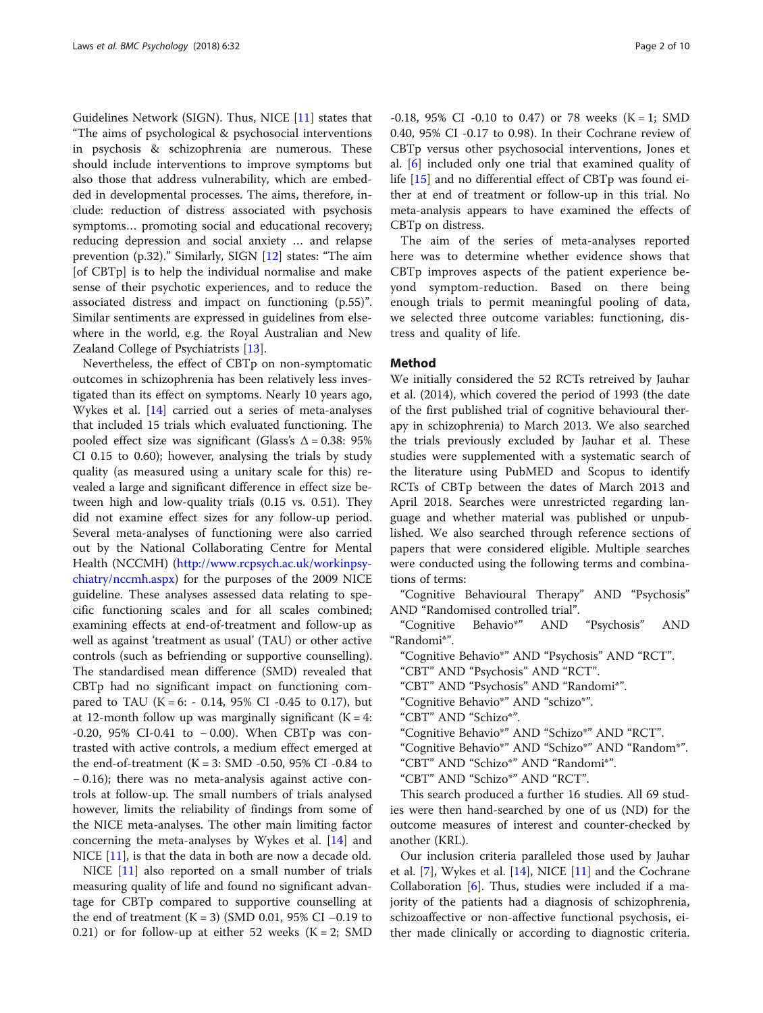Guidelines Network (SIGN). Thus, NICE [\[11](#page-8-0)] states that "The aims of psychological & psychosocial interventions in psychosis & schizophrenia are numerous. These should include interventions to improve symptoms but also those that address vulnerability, which are embedded in developmental processes. The aims, therefore, include: reduction of distress associated with psychosis symptoms… promoting social and educational recovery; reducing depression and social anxiety … and relapse prevention (p.32)." Similarly, SIGN [[12](#page-8-0)] states: "The aim [of CBTp] is to help the individual normalise and make sense of their psychotic experiences, and to reduce the associated distress and impact on functioning (p.55)". Similar sentiments are expressed in guidelines from elsewhere in the world, e.g. the Royal Australian and New Zealand College of Psychiatrists [[13\]](#page-8-0).

Nevertheless, the effect of CBTp on non-symptomatic outcomes in schizophrenia has been relatively less investigated than its effect on symptoms. Nearly 10 years ago, Wykes et al. [\[14](#page-8-0)] carried out a series of meta-analyses that included 15 trials which evaluated functioning. The pooled effect size was significant (Glass's  $\Delta = 0.38$ : 95% CI 0.15 to 0.60); however, analysing the trials by study quality (as measured using a unitary scale for this) revealed a large and significant difference in effect size between high and low-quality trials (0.15 vs. 0.51). They did not examine effect sizes for any follow-up period. Several meta-analyses of functioning were also carried out by the National Collaborating Centre for Mental Health (NCCMH) [\(http://www.rcpsych.ac.uk/workinpsy](http://www.rcpsych.ac.uk/workinpsychiatry/nccmh.aspx)[chiatry/nccmh.aspx](http://www.rcpsych.ac.uk/workinpsychiatry/nccmh.aspx)) for the purposes of the 2009 NICE guideline. These analyses assessed data relating to specific functioning scales and for all scales combined; examining effects at end-of-treatment and follow-up as well as against 'treatment as usual' (TAU) or other active controls (such as befriending or supportive counselling). The standardised mean difference (SMD) revealed that CBTp had no significant impact on functioning compared to TAU (K = 6: - 0.14, 95% CI -0.45 to 0.17), but at 12-month follow up was marginally significant ( $K = 4$ : -0.20, 95% CI-0.41 to − 0.00). When CBTp was contrasted with active controls, a medium effect emerged at the end-of-treatment  $(K = 3: SMD -0.50, 95\% CI -0.84$  to − 0.16); there was no meta-analysis against active controls at follow-up. The small numbers of trials analysed however, limits the reliability of findings from some of the NICE meta-analyses. The other main limiting factor concerning the meta-analyses by Wykes et al. [\[14](#page-8-0)] and NICE [[11\]](#page-8-0), is that the data in both are now a decade old.

NICE [\[11\]](#page-8-0) also reported on a small number of trials measuring quality of life and found no significant advantage for CBTp compared to supportive counselling at the end of treatment  $(K = 3)$  (SMD 0.01, 95% CI –0.19 to 0.21) or for follow-up at either 52 weeks  $(K = 2; SMD)$ 

 $-0.18$ , 95% CI  $-0.10$  to 0.47) or 78 weeks (K = 1; SMD 0.40, 95% CI -0.17 to 0.98). In their Cochrane review of CBTp versus other psychosocial interventions, Jones et al. [\[6](#page-8-0)] included only one trial that examined quality of life [\[15](#page-8-0)] and no differential effect of CBTp was found either at end of treatment or follow-up in this trial. No meta-analysis appears to have examined the effects of CBTp on distress.

The aim of the series of meta-analyses reported here was to determine whether evidence shows that CBTp improves aspects of the patient experience beyond symptom-reduction. Based on there being enough trials to permit meaningful pooling of data, we selected three outcome variables: functioning, distress and quality of life.

## Method

We initially considered the 52 RCTs retreived by Jauhar et al. (2014), which covered the period of 1993 (the date of the first published trial of cognitive behavioural therapy in schizophrenia) to March 2013. We also searched the trials previously excluded by Jauhar et al. These studies were supplemented with a systematic search of the literature using PubMED and Scopus to identify RCTs of CBTp between the dates of March 2013 and April 2018. Searches were unrestricted regarding language and whether material was published or unpublished. We also searched through reference sections of papers that were considered eligible. Multiple searches were conducted using the following terms and combinations of terms:

"Cognitive Behavioural Therapy" AND "Psychosis" AND "Randomised controlled trial".

"Cognitive Behavio\*" AND "Psychosis" AND "Randomi\*".

"Cognitive Behavio\*" AND "Psychosis" AND "RCT".

- "CBT" AND "Psychosis" AND "RCT".
- "CBT" AND "Psychosis" AND "Randomi\*".
- "Cognitive Behavio\*" AND "schizo\*".
- "CBT" AND "Schizo\*".
- "Cognitive Behavio\*" AND "Schizo\*" AND "RCT".
- "Cognitive Behavio\*" AND "Schizo\*" AND "Random\*".
- "CBT" AND "Schizo\*" AND "Randomi\*".
- "CBT" AND "Schizo\*" AND "RCT".

This search produced a further 16 studies. All 69 studies were then hand-searched by one of us (ND) for the outcome measures of interest and counter-checked by another (KRL).

Our inclusion criteria paralleled those used by Jauhar et al. [[7\]](#page-8-0), Wykes et al. [\[14\]](#page-8-0), NICE [[11\]](#page-8-0) and the Cochrane Collaboration [[6\]](#page-8-0). Thus, studies were included if a majority of the patients had a diagnosis of schizophrenia, schizoaffective or non-affective functional psychosis, either made clinically or according to diagnostic criteria.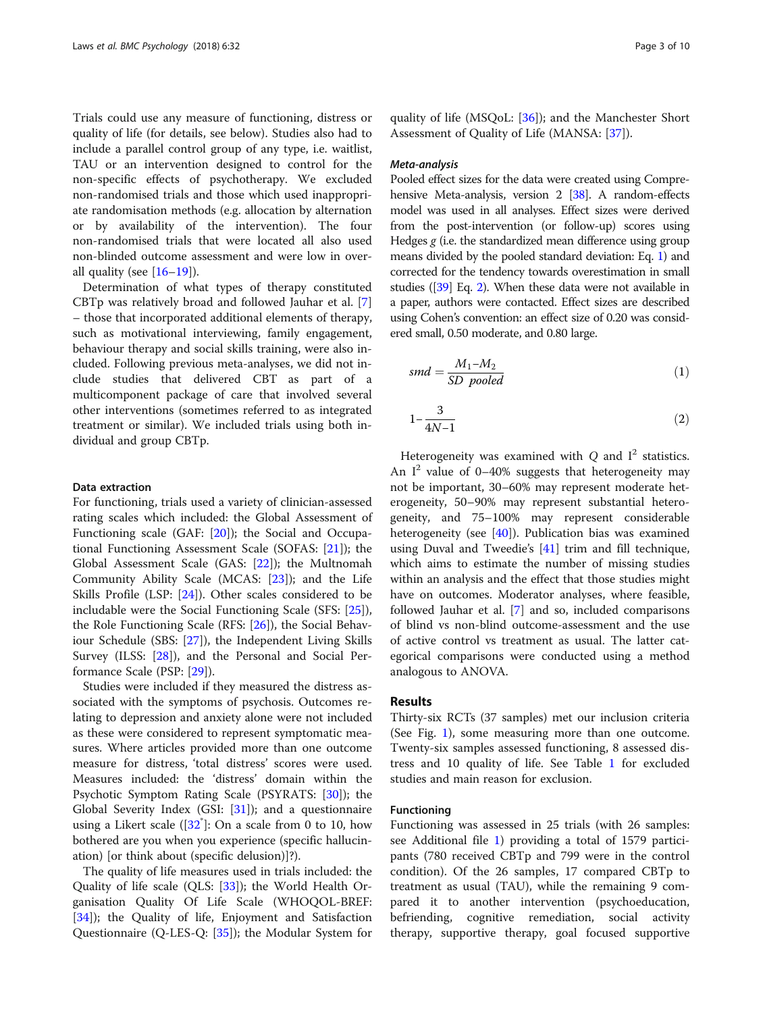Trials could use any measure of functioning, distress or quality of life (for details, see below). Studies also had to include a parallel control group of any type, i.e. waitlist, TAU or an intervention designed to control for the non-specific effects of psychotherapy. We excluded non-randomised trials and those which used inappropriate randomisation methods (e.g. allocation by alternation or by availability of the intervention). The four non-randomised trials that were located all also used non-blinded outcome assessment and were low in overall quality (see  $[16–19]$  $[16–19]$  $[16–19]$  $[16–19]$  $[16–19]$ ).

Determination of what types of therapy constituted CBTp was relatively broad and followed Jauhar et al. [\[7](#page-8-0)] – those that incorporated additional elements of therapy, such as motivational interviewing, family engagement, behaviour therapy and social skills training, were also included. Following previous meta-analyses, we did not include studies that delivered CBT as part of a multicomponent package of care that involved several other interventions (sometimes referred to as integrated treatment or similar). We included trials using both individual and group CBTp.

## Data extraction

For functioning, trials used a variety of clinician-assessed rating scales which included: the Global Assessment of Functioning scale (GAF: [[20\]](#page-8-0)); the Social and Occupational Functioning Assessment Scale (SOFAS: [\[21](#page-8-0)]); the Global Assessment Scale (GAS: [[22](#page-8-0)]); the Multnomah Community Ability Scale (MCAS: [\[23](#page-8-0)]); and the Life Skills Profile (LSP: [[24\]](#page-8-0)). Other scales considered to be includable were the Social Functioning Scale (SFS: [\[25](#page-8-0)]), the Role Functioning Scale (RFS: [\[26\]](#page-8-0)), the Social Behaviour Schedule (SBS: [[27\]](#page-8-0)), the Independent Living Skills Survey (ILSS: [\[28](#page-8-0)]), and the Personal and Social Performance Scale (PSP: [\[29](#page-8-0)]).

Studies were included if they measured the distress associated with the symptoms of psychosis. Outcomes relating to depression and anxiety alone were not included as these were considered to represent symptomatic measures. Where articles provided more than one outcome measure for distress, 'total distress' scores were used. Measures included: the 'distress' domain within the Psychotic Symptom Rating Scale (PSYRATS: [[30](#page-8-0)]); the Global Severity Index (GSI: [[31](#page-8-0)]); and a questionnaire using a Likert scale  $([32\degree]$  $([32\degree]$  $([32\degree]$ : On a scale from 0 to 10, how bothered are you when you experience (specific hallucination) [or think about (specific delusion)]?).

The quality of life measures used in trials included: the Quality of life scale (QLS: [\[33\]](#page-8-0)); the World Health Organisation Quality Of Life Scale (WHOQOL-BREF: [[34\]](#page-8-0)); the Quality of life, Enjoyment and Satisfaction Questionnaire (Q-LES-Q: [\[35\]](#page-8-0)); the Modular System for quality of life (MSQoL: [[36\]](#page-8-0)); and the Manchester Short Assessment of Quality of Life (MANSA: [[37\]](#page-8-0)).

#### Meta-analysis

Pooled effect sizes for the data were created using Compre-hensive Meta-analysis, version 2 [\[38\]](#page-8-0). A random-effects model was used in all analyses. Effect sizes were derived from the post-intervention (or follow-up) scores using Hedges  $g$  (i.e. the standardized mean difference using group means divided by the pooled standard deviation: Eq. 1) and corrected for the tendency towards overestimation in small studies ([\[39](#page-8-0)] Eq. 2). When these data were not available in a paper, authors were contacted. Effect sizes are described using Cohen's convention: an effect size of 0.20 was considered small, 0.50 moderate, and 0.80 large.

$$
smd = \frac{M_1 - M_2}{SD \ pooled} \tag{1}
$$

$$
1 - \frac{3}{4N - 1} \tag{2}
$$

Heterogeneity was examined with  $Q$  and  $I<sup>2</sup>$  statistics. An  $I^2$  value of 0–40% suggests that heterogeneity may not be important, 30–60% may represent moderate heterogeneity, 50–90% may represent substantial heterogeneity, and 75–100% may represent considerable heterogeneity (see  $[40]$ ). Publication bias was examined using Duval and Tweedie's [\[41\]](#page-8-0) trim and fill technique, which aims to estimate the number of missing studies within an analysis and the effect that those studies might have on outcomes. Moderator analyses, where feasible, followed Jauhar et al. [\[7](#page-8-0)] and so, included comparisons of blind vs non-blind outcome-assessment and the use of active control vs treatment as usual. The latter categorical comparisons were conducted using a method analogous to ANOVA.

### Results

Thirty-six RCTs (37 samples) met our inclusion criteria (See Fig. [1](#page-3-0)), some measuring more than one outcome. Twenty-six samples assessed functioning, 8 assessed distress and 10 quality of life. See Table [1](#page-3-0) for excluded studies and main reason for exclusion.

## Functioning

Functioning was assessed in 25 trials (with 26 samples: see Additional file [1\)](#page-7-0) providing a total of 1579 participants (780 received CBTp and 799 were in the control condition). Of the 26 samples, 17 compared CBTp to treatment as usual (TAU), while the remaining 9 compared it to another intervention (psychoeducation, befriending, cognitive remediation, social activity therapy, supportive therapy, goal focused supportive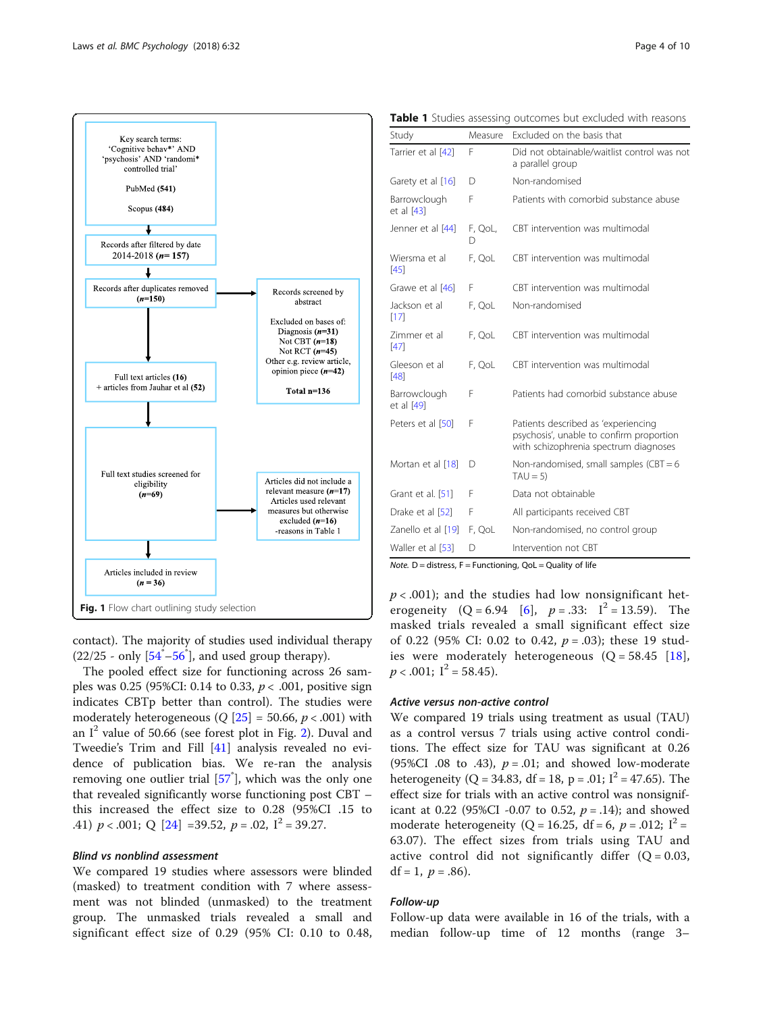<span id="page-3-0"></span>

contact). The majority of studies used individual therapy  $(22/25 - \text{only } [54^* - 56^*]$  $(22/25 - \text{only } [54^* - 56^*]$  $(22/25 - \text{only } [54^* - 56^*]$  $(22/25 - \text{only } [54^* - 56^*]$  $(22/25 - \text{only } [54^* - 56^*]$ , and used group therapy).

The pooled effect size for functioning across 26 samples was 0.25 (95%CI: 0.14 to 0.33,  $p < .001$ , positive sign indicates CBTp better than control). The studies were moderately heterogeneous ( $Q$  [[25\]](#page-8-0) = 50.66,  $p < .001$ ) with an  $I^2$  value of 50.66 (see forest plot in Fig. [2\)](#page-4-0). Duval and Tweedie's Trim and Fill [\[41](#page-8-0)] analysis revealed no evidence of publication bias. We re-ran the analysis removing one outlier trial [\[57](#page-9-0)<sup>\*</sup>], which was the only one that revealed significantly worse functioning post CBT – this increased the effect size to 0.28 (95%CI .15 to .41)  $p < .001$ ; Q [[24\]](#page-8-0) =39.52,  $p = .02$ ,  $I^2 = 39.27$ .

#### Blind vs nonblind assessment

We compared 19 studies where assessors were blinded (masked) to treatment condition with 7 where assessment was not blinded (unmasked) to the treatment group. The unmasked trials revealed a small and significant effect size of 0.29 (95% CI: 0.10 to 0.48,

Table 1 Studies assessing outcomes but excluded with reasons

| Study                      | Measure      | Excluded on the basis that                                                                                               |  |  |  |  |  |
|----------------------------|--------------|--------------------------------------------------------------------------------------------------------------------------|--|--|--|--|--|
| Tarrier et al [42]         | F            | Did not obtainable/waitlist control was not<br>a parallel group                                                          |  |  |  |  |  |
| Garety et al [16]          | D            | Non-randomised                                                                                                           |  |  |  |  |  |
| Barrowclough<br>et al [43] | F            | Patients with comorbid substance abuse                                                                                   |  |  |  |  |  |
| Jenner et al [44]          | F, QoL,<br>D | CBT intervention was multimodal                                                                                          |  |  |  |  |  |
| Wiersma et al<br>[45]      | F, QoL       | CBT intervention was multimodal                                                                                          |  |  |  |  |  |
| Grawe et al [46]           | F            | CBT intervention was multimodal                                                                                          |  |  |  |  |  |
| Jackson et al<br>[17]      | F, QoL       | Non-randomised                                                                                                           |  |  |  |  |  |
| Zimmer et al<br>[47]       | F, QoL       | CBT intervention was multimodal                                                                                          |  |  |  |  |  |
| Gleeson et al<br>[48]      | F, QoL       | CBT intervention was multimodal                                                                                          |  |  |  |  |  |
| Barrowclough<br>et al [49] | F            | Patients had comorbid substance abuse                                                                                    |  |  |  |  |  |
| Peters et al [50]          | F            | Patients described as 'experiencing<br>psychosis', unable to confirm proportion<br>with schizophrenia spectrum diagnoses |  |  |  |  |  |
| Mortan et al [18]          | D            | Non-randomised, small samples (CBT $= 6$<br>$TAU = 5$                                                                    |  |  |  |  |  |
| Grant et al. [51]          | F            | Data not obtainable                                                                                                      |  |  |  |  |  |
| Drake et al [52]           | F            | All participants received CBT                                                                                            |  |  |  |  |  |
| Zanello et al [19]         | F, QoL       | Non-randomised, no control group                                                                                         |  |  |  |  |  |
| Waller et al [53]          | D            | Intervention not CBT                                                                                                     |  |  |  |  |  |

Note.  $D =$  distress,  $F =$  Functioning,  $Qol =$  Quality of life

 $p < .001$ ); and the studies had low nonsignificant heterogeneity  $(Q = 6.94 \mid 6]$  $(Q = 6.94 \mid 6]$ ,  $p = .33$ :  $I^2 = 13.59$ ). The masked trials revealed a small significant effect size of 0.22 (95% CI: 0.02 to 0.42,  $p = .03$ ); these 19 studies were moderately heterogeneous  $(Q = 58.45 \t{18})$  $(Q = 58.45 \t{18})$  $(Q = 58.45 \t{18})$ ,  $p < .001$ ;  $I^2 = 58.45$ ).

### Active versus non-active control

We compared 19 trials using treatment as usual (TAU) as a control versus 7 trials using active control conditions. The effect size for TAU was significant at 0.26 (95%CI .08 to .43),  $p = .01$ ; and showed low-moderate heterogeneity (Q = 34.83, df = 18, p = .01;  $I^2$  = 47.65). The effect size for trials with an active control was nonsignificant at 0.22 (95%CI -0.07 to 0.52,  $p = .14$ ); and showed moderate heterogeneity (Q = 16.25, df = 6,  $p = .012$ ;  $I^2$  = 63.07). The effect sizes from trials using TAU and active control did not significantly differ  $(Q = 0.03,$ df = 1,  $p = .86$ ).

## Follow-up

Follow-up data were available in 16 of the trials, with a median follow-up time of 12 months (range 3–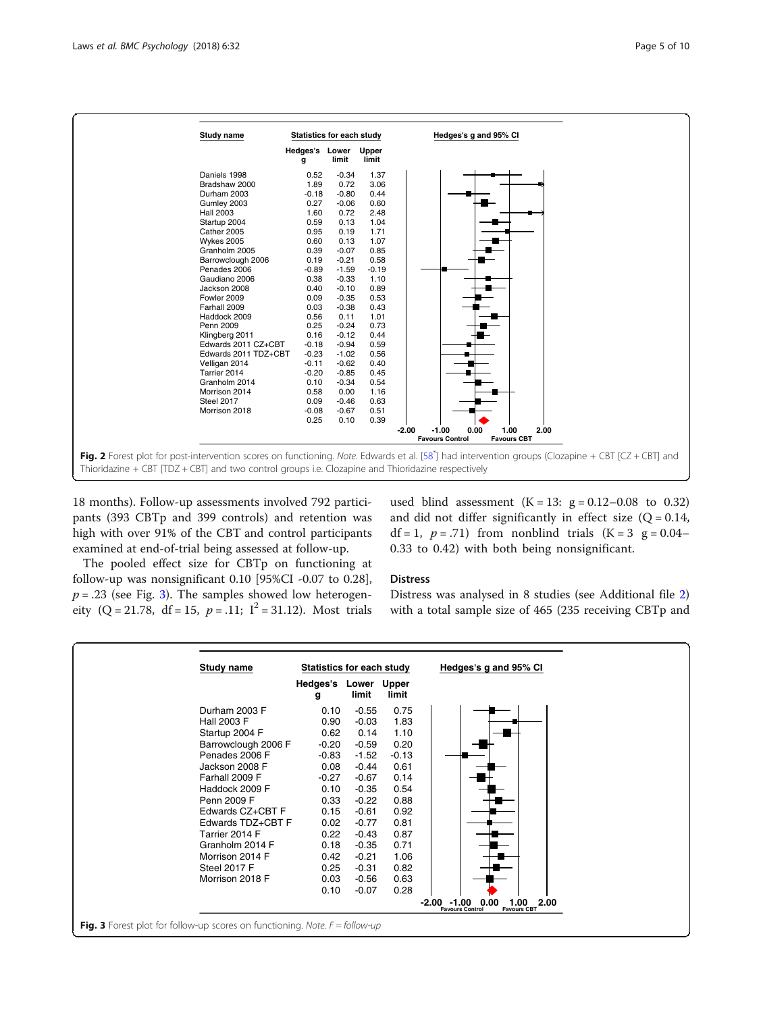<span id="page-4-0"></span>

18 months). Follow-up assessments involved 792 participants (393 CBTp and 399 controls) and retention was high with over 91% of the CBT and control participants examined at end-of-trial being assessed at follow-up.

used blind assessment  $(K = 13: g = 0.12 - 0.08$  to 0.32) and did not differ significantly in effect size  $(Q = 0.14,$  $df = 1$ ,  $p = .71$ ) from nonblind trials  $(K = 3 \text{ g} = 0.04$ -0.33 to 0.42) with both being nonsignificant.

The pooled effect size for CBTp on functioning at follow-up was nonsignificant 0.10 [95%CI -0.07 to 0.28],  $p = .23$  (see Fig. 3). The samples showed low heterogeneity (Q = 21.78, df = 15,  $p = .11$ ; I<sup>2</sup> = 31.12). Most trials

## Distress

Distress was analysed in 8 studies (see Additional file [2](#page-7-0)) with a total sample size of 465 (235 receiving CBTp and

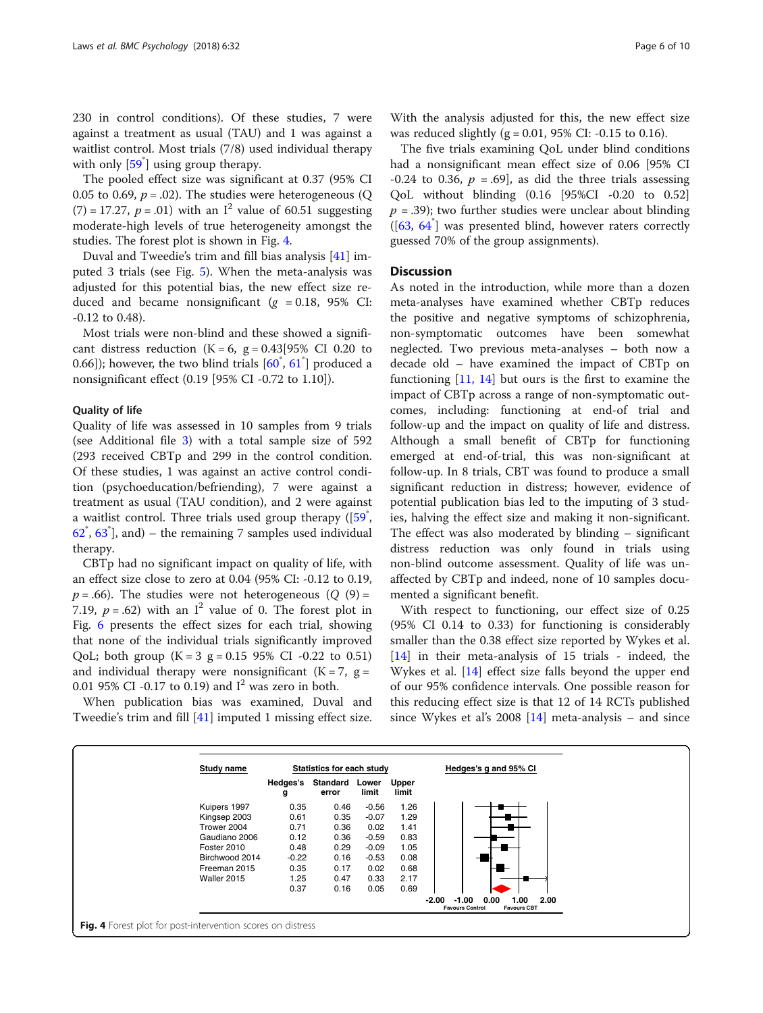230 in control conditions). Of these studies, 7 were against a treatment as usual (TAU) and 1 was against a waitlist control. Most trials (7/8) used individual therapy with only [\[59](#page-9-0)<sup>\*</sup>] using group therapy.

The pooled effect size was significant at 0.37 (95% CI 0.05 to 0.69,  $p = .02$ ). The studies were heterogeneous (Q)  $(7) = 17.27$ ,  $p = .01$ ) with an I<sup>2</sup> value of 60.51 suggesting moderate-high levels of true heterogeneity amongst the studies. The forest plot is shown in Fig. 4.

Duval and Tweedie's trim and fill bias analysis [\[41](#page-8-0)] imputed 3 trials (see Fig. [5\)](#page-6-0). When the meta-analysis was adjusted for this potential bias, the new effect size reduced and became nonsignificant ( $g = 0.18$ , 95% CI: -0.12 to 0.48).

Most trials were non-blind and these showed a significant distress reduction  $(K = 6, g = 0.43[95\% \text{ CI } 0.20 \text{ to }$ 0.66]); however, the two blind trials  $[60^{\degree}, 61^{\degree}]$  $[60^{\degree}, 61^{\degree}]$  $[60^{\degree}, 61^{\degree}]$  produced a nonsignificant effect (0.19 [95% CI -0.72 to 1.10]).

## Quality of life

Quality of life was assessed in 10 samples from 9 trials (see Additional file [3](#page-7-0)) with a total sample size of 592 (293 received CBTp and 299 in the control condition. Of these studies, 1 was against an active control condition (psychoeducation/befriending), 7 were against a treatment as usual (TAU condition), and 2 were against a waitlist control. Three trials used group therapy  $([59],$  $62^{\degree}$  $62^{\degree}$ ,  $63^{\degree}$  $63^{\degree}$ ], and) – the remaining 7 samples used individual therapy.

CBTp had no significant impact on quality of life, with an effect size close to zero at 0.04 (95% CI: -0.12 to 0.19,  $p = .66$ ). The studies were not heterogeneous (Q (9) = 7.19,  $p = .62$ ) with an I<sup>2</sup> value of 0. The forest plot in Fig. [6](#page-6-0) presents the effect sizes for each trial, showing that none of the individual trials significantly improved QoL; both group  $(K = 3 g = 0.15 95\% \text{ CI} -0.22 \text{ to } 0.51)$ and individual therapy were nonsignificant  $(K = 7, g = 1)$ 0.01 95% CI -0.17 to 0.19) and  $I^2$  was zero in both.

When publication bias was examined, Duval and Tweedie's trim and fill [[41\]](#page-8-0) imputed 1 missing effect size.

The five trials examining QoL under blind conditions had a nonsignificant mean effect size of 0.06 [95% CI -0.24 to 0.36,  $p = .69$ , as did the three trials assessing QoL without blinding (0.16 [95%CI -0.20 to 0.52]  $p = .39$ ); two further studies were unclear about blinding ([\[63,](#page-9-0) [64](#page-9-0)\* ] was presented blind, however raters correctly guessed 70% of the group assignments).

## **Discussion**

As noted in the introduction, while more than a dozen meta-analyses have examined whether CBTp reduces the positive and negative symptoms of schizophrenia, non-symptomatic outcomes have been somewhat neglected. Two previous meta-analyses – both now a decade old – have examined the impact of CBTp on functioning  $[11, 14]$  $[11, 14]$  $[11, 14]$  $[11, 14]$  but ours is the first to examine the impact of CBTp across a range of non-symptomatic outcomes, including: functioning at end-of trial and follow-up and the impact on quality of life and distress. Although a small benefit of CBTp for functioning emerged at end-of-trial, this was non-significant at follow-up. In 8 trials, CBT was found to produce a small significant reduction in distress; however, evidence of potential publication bias led to the imputing of 3 studies, halving the effect size and making it non-significant. The effect was also moderated by blinding – significant distress reduction was only found in trials using non-blind outcome assessment. Quality of life was unaffected by CBTp and indeed, none of 10 samples documented a significant benefit.

With respect to functioning, our effect size of 0.25 (95% CI 0.14 to 0.33) for functioning is considerably smaller than the 0.38 effect size reported by Wykes et al. [[14\]](#page-8-0) in their meta-analysis of 15 trials - indeed, the Wykes et al. [[14](#page-8-0)] effect size falls beyond the upper end of our 95% confidence intervals. One possible reason for this reducing effect size is that 12 of 14 RCTs published since Wykes et al's 2008 [[14\]](#page-8-0) meta-analysis – and since

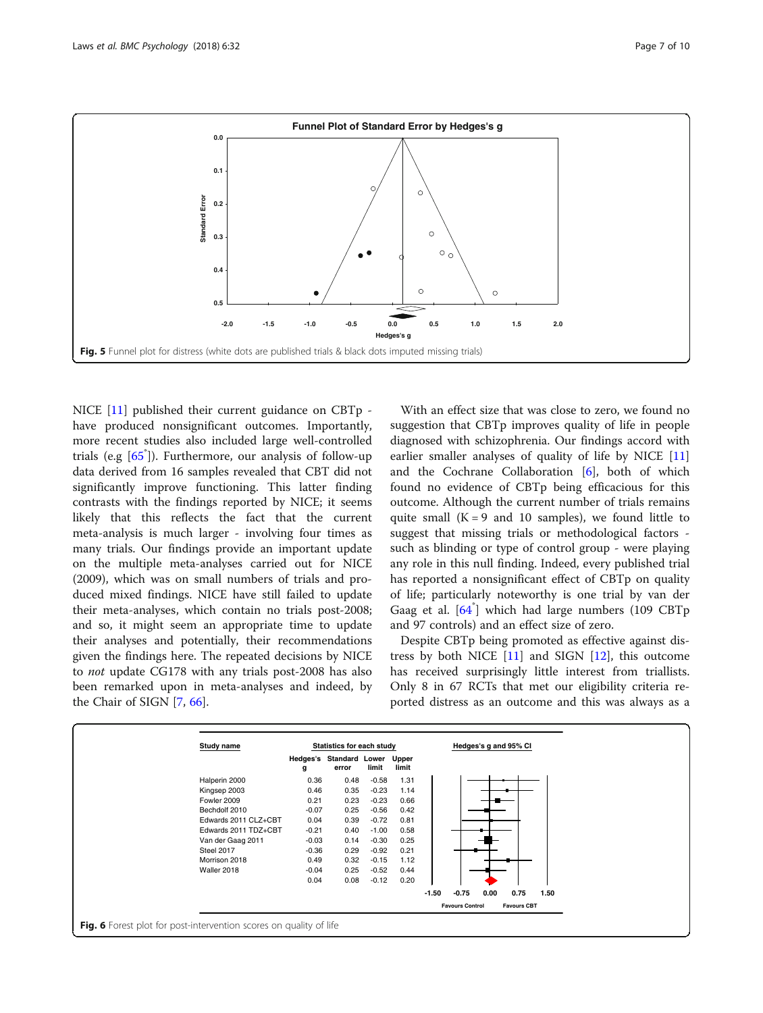<span id="page-6-0"></span>

NICE [[11](#page-8-0)] published their current guidance on CBTp have produced nonsignificant outcomes. Importantly, more recent studies also included large well-controlled trials (e.g [[65](#page-9-0)\* ]). Furthermore, our analysis of follow-up data derived from 16 samples revealed that CBT did not significantly improve functioning. This latter finding contrasts with the findings reported by NICE; it seems likely that this reflects the fact that the current meta-analysis is much larger - involving four times as many trials. Our findings provide an important update on the multiple meta-analyses carried out for NICE (2009), which was on small numbers of trials and produced mixed findings. NICE have still failed to update their meta-analyses, which contain no trials post-2008; and so, it might seem an appropriate time to update their analyses and potentially, their recommendations given the findings here. The repeated decisions by NICE to not update CG178 with any trials post-2008 has also been remarked upon in meta-analyses and indeed, by the Chair of SIGN [\[7,](#page-8-0) [66\]](#page-9-0).

With an effect size that was close to zero, we found no suggestion that CBTp improves quality of life in people diagnosed with schizophrenia. Our findings accord with earlier smaller analyses of quality of life by NICE [[11](#page-8-0)] and the Cochrane Collaboration [\[6](#page-8-0)], both of which found no evidence of CBTp being efficacious for this outcome. Although the current number of trials remains quite small  $(K = 9$  and 10 samples), we found little to suggest that missing trials or methodological factors such as blinding or type of control group - were playing any role in this null finding. Indeed, every published trial has reported a nonsignificant effect of CBTp on quality of life; particularly noteworthy is one trial by van der Gaag et al. [[64](#page-9-0)\* ] which had large numbers (109 CBTp and 97 controls) and an effect size of zero.

Despite CBTp being promoted as effective against distress by both NICE  $[11]$  $[11]$  and SIGN  $[12]$  $[12]$ , this outcome has received surprisingly little interest from triallists. Only 8 in 67 RCTs that met our eligibility criteria reported distress as an outcome and this was always as a

| Study name           | Statistics for each study |                                  |         |                |         | Hedges's g and 95% CI  |      |                    |      |  |
|----------------------|---------------------------|----------------------------------|---------|----------------|---------|------------------------|------|--------------------|------|--|
|                      | g                         | Hedges's Standard Lower<br>error | limit   | Upper<br>limit |         |                        |      |                    |      |  |
| Halperin 2000        | 0.36                      | 0.48                             | $-0.58$ | 1.31           |         |                        |      |                    |      |  |
| Kingsep 2003         | 0.46                      | 0.35                             | $-0.23$ | 1.14           |         |                        |      |                    |      |  |
| Fowler 2009          | 0.21                      | 0.23                             | $-0.23$ | 0.66           |         |                        |      |                    |      |  |
| Bechdolf 2010        | $-0.07$                   | 0.25                             | $-0.56$ | 0.42           |         |                        |      |                    |      |  |
| Edwards 2011 CLZ+CBT | 0.04                      | 0.39                             | $-0.72$ | 0.81           |         |                        |      |                    |      |  |
| Edwards 2011 TDZ+CBT | $-0.21$                   | 0.40                             | $-1.00$ | 0.58           |         |                        |      |                    |      |  |
| Van der Gaag 2011    | $-0.03$                   | 0.14                             | $-0.30$ | 0.25           |         |                        |      |                    |      |  |
| Steel 2017           | $-0.36$                   | 0.29                             | $-0.92$ | 0.21           |         |                        |      |                    |      |  |
| Morrison 2018        | 0.49                      | 0.32                             | $-0.15$ | 1.12           |         |                        |      |                    |      |  |
| Waller 2018          | $-0.04$                   | 0.25                             | $-0.52$ | 0.44           |         |                        |      |                    |      |  |
|                      | 0.04                      | 0.08                             | $-0.12$ | 0.20           |         |                        |      |                    |      |  |
|                      |                           |                                  |         |                | $-1.50$ | $-0.75$                | 0.00 | 0.75               | 1.50 |  |
|                      |                           |                                  |         |                |         | <b>Favours Control</b> |      | <b>Favours CBT</b> |      |  |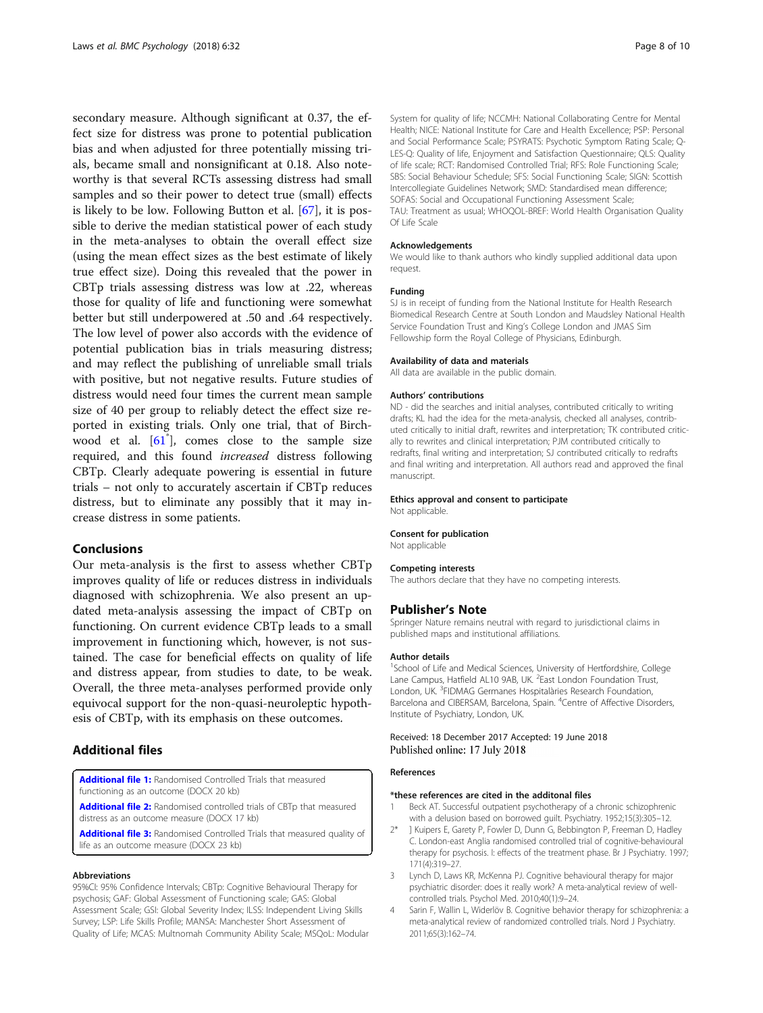<span id="page-7-0"></span>secondary measure. Although significant at 0.37, the effect size for distress was prone to potential publication bias and when adjusted for three potentially missing trials, became small and nonsignificant at 0.18. Also noteworthy is that several RCTs assessing distress had small samples and so their power to detect true (small) effects is likely to be low. Following Button et al. [[67\]](#page-9-0), it is possible to derive the median statistical power of each study in the meta-analyses to obtain the overall effect size (using the mean effect sizes as the best estimate of likely true effect size). Doing this revealed that the power in CBTp trials assessing distress was low at .22, whereas those for quality of life and functioning were somewhat better but still underpowered at .50 and .64 respectively. The low level of power also accords with the evidence of potential publication bias in trials measuring distress; and may reflect the publishing of unreliable small trials with positive, but not negative results. Future studies of distress would need four times the current mean sample size of 40 per group to reliably detect the effect size reported in existing trials. Only one trial, that of Birch-wood et al. [[61](#page-9-0)<sup>\*</sup>], comes close to the sample size required, and this found increased distress following CBTp. Clearly adequate powering is essential in future trials – not only to accurately ascertain if CBTp reduces distress, but to eliminate any possibly that it may increase distress in some patients.

## Conclusions

Our meta-analysis is the first to assess whether CBTp improves quality of life or reduces distress in individuals diagnosed with schizophrenia. We also present an updated meta-analysis assessing the impact of CBTp on functioning. On current evidence CBTp leads to a small improvement in functioning which, however, is not sustained. The case for beneficial effects on quality of life and distress appear, from studies to date, to be weak. Overall, the three meta-analyses performed provide only equivocal support for the non-quasi-neuroleptic hypothesis of CBTp, with its emphasis on these outcomes.

## Additional files

[Additional file 1:](https://doi.org/10.1186/s40359-018-0243-2) Randomised Controlled Trials that measured functioning as an outcome (DOCX 20 kb)

[Additional file 2:](https://doi.org/10.1186/s40359-018-0243-2) Randomised controlled trials of CBTp that measured distress as an outcome measure (DOCX 17 kb)

[Additional file 3:](https://doi.org/10.1186/s40359-018-0243-2) Randomised Controlled Trials that measured quality of life as an outcome measure (DOCX 23 kb)

#### Abbreviations

95%CI: 95% Confidence Intervals; CBTp: Cognitive Behavioural Therapy for psychosis; GAF: Global Assessment of Functioning scale; GAS: Global Assessment Scale; GSI: Global Severity Index; ILSS: Independent Living Skills Survey; LSP: Life Skills Profile; MANSA: Manchester Short Assessment of Quality of Life; MCAS: Multnomah Community Ability Scale; MSQoL: Modular

System for quality of life; NCCMH: National Collaborating Centre for Mental Health; NICE: National Institute for Care and Health Excellence; PSP: Personal and Social Performance Scale; PSYRATS: Psychotic Symptom Rating Scale; Q-LES-Q: Quality of life, Enjoyment and Satisfaction Questionnaire; QLS: Quality of life scale; RCT: Randomised Controlled Trial; RFS: Role Functioning Scale; SBS: Social Behaviour Schedule; SFS: Social Functioning Scale; SIGN: Scottish Intercollegiate Guidelines Network; SMD: Standardised mean difference; SOFAS: Social and Occupational Functioning Assessment Scale; TAU: Treatment as usual; WHOQOL-BREF: World Health Organisation Quality Of Life Scale

#### Acknowledgements

We would like to thank authors who kindly supplied additional data upon request.

#### Funding

SJ is in receipt of funding from the National Institute for Health Research Biomedical Research Centre at South London and Maudsley National Health Service Foundation Trust and King's College London and JMAS Sim Fellowship form the Royal College of Physicians, Edinburgh.

#### Availability of data and materials

All data are available in the public domain.

#### Authors' contributions

ND - did the searches and initial analyses, contributed critically to writing drafts; KL had the idea for the meta-analysis, checked all analyses, contributed critically to initial draft, rewrites and interpretation; TK contributed critically to rewrites and clinical interpretation; PJM contributed critically to redrafts, final writing and interpretation; SJ contributed critically to redrafts and final writing and interpretation. All authors read and approved the final manuscript.

#### Ethics approval and consent to participate

Not applicable.

#### Consent for publication

Not applicable

#### Competing interests

The authors declare that they have no competing interests.

#### Publisher's Note

Springer Nature remains neutral with regard to jurisdictional claims in published maps and institutional affiliations.

#### Author details

<sup>1</sup>School of Life and Medical Sciences, University of Hertfordshire, College Lane Campus, Hatfield AL10 9AB, UK. <sup>2</sup> East London Foundation Trust London, UK. <sup>3</sup>FIDMAG Germanes Hospitalàries Research Foundation, Barcelona and CIBERSAM, Barcelona, Spain. <sup>4</sup>Centre of Affective Disorders, Institute of Psychiatry, London, UK.

### Received: 18 December 2017 Accepted: 19 June 2018 Published online: 17 July 2018

#### References

#### \*these references are cited in the additonal files

- 1 Beck AT. Successful outpatient psychotherapy of a chronic schizophrenic with a delusion based on borrowed guilt. Psychiatry. 1952;15(3):305–12.
- 2\* ] Kuipers E, Garety P, Fowler D, Dunn G, Bebbington P, Freeman D, Hadley C. London-east Anglia randomised controlled trial of cognitive-behavioural therapy for psychosis. I: effects of the treatment phase. Br J Psychiatry. 1997; 171(4):319–27.
- 3 Lynch D, Laws KR, McKenna PJ. Cognitive behavioural therapy for major psychiatric disorder: does it really work? A meta-analytical review of wellcontrolled trials. Psychol Med. 2010;40(1):9–24.
- 4 Sarin F, Wallin L, Widerlöv B. Cognitive behavior therapy for schizophrenia: a meta-analytical review of randomized controlled trials. Nord J Psychiatry. 2011;65(3):162–74.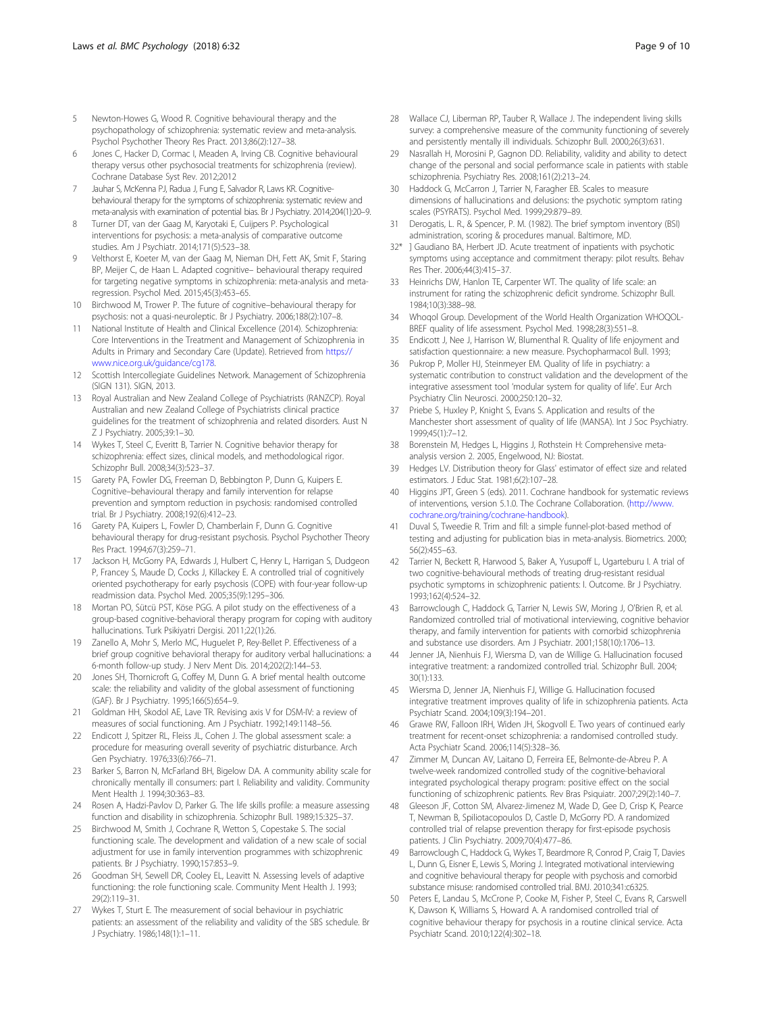- <span id="page-8-0"></span>5 Newton-Howes G, Wood R. Cognitive behavioural therapy and the psychopathology of schizophrenia: systematic review and meta-analysis. Psychol Psychother Theory Res Pract. 2013;86(2):127–38.
- Jones C, Hacker D, Cormac I, Meaden A, Irving CB. Cognitive behavioural therapy versus other psychosocial treatments for schizophrenia (review). Cochrane Database Syst Rev. 2012;2012
- Jauhar S, McKenna PJ, Radua J, Fung E, Salvador R, Laws KR. Cognitivebehavioural therapy for the symptoms of schizophrenia: systematic review and meta-analysis with examination of potential bias. Br J Psychiatry. 2014;204(1):20–9.
- Turner DT, van der Gaag M, Karyotaki E, Cuijpers P. Psychological interventions for psychosis: a meta-analysis of comparative outcome studies. Am J Psychiatr. 2014;171(5):523–38.
- 9 Velthorst E, Koeter M, van der Gaag M, Nieman DH, Fett AK, Smit F, Staring BP, Meijer C, de Haan L. Adapted cognitive– behavioural therapy required for targeting negative symptoms in schizophrenia: meta-analysis and metaregression. Psychol Med. 2015;45(3):453–65.
- 10 Birchwood M, Trower P. The future of cognitive–behavioural therapy for psychosis: not a quasi-neuroleptic. Br J Psychiatry. 2006;188(2):107–8.
- 11 National Institute of Health and Clinical Excellence (2014). Schizophrenia: Core Interventions in the Treatment and Management of Schizophrenia in Adults in Primary and Secondary Care (Update). Retrieved from [https://](https://www.nice.org.uk/guidance/cg178) [www.nice.org.uk/guidance/cg178](https://www.nice.org.uk/guidance/cg178).
- 12 Scottish Intercollegiate Guidelines Network. Management of Schizophrenia (SIGN 131). SIGN, 2013.
- 13 Royal Australian and New Zealand College of Psychiatrists (RANZCP). Royal Australian and new Zealand College of Psychiatrists clinical practice guidelines for the treatment of schizophrenia and related disorders. Aust N Z J Psychiatry. 2005;39:1–30.
- 14 Wykes T, Steel C, Everitt B, Tarrier N. Cognitive behavior therapy for schizophrenia: effect sizes, clinical models, and methodological rigor. Schizophr Bull. 2008;34(3):523–37.
- 15 Garety PA, Fowler DG, Freeman D, Bebbington P, Dunn G, Kuipers E. Cognitive–behavioural therapy and family intervention for relapse prevention and symptom reduction in psychosis: randomised controlled trial. Br J Psychiatry. 2008;192(6):412–23.
- 16 Garety PA, Kuipers L, Fowler D, Chamberlain F, Dunn G. Cognitive behavioural therapy for drug-resistant psychosis. Psychol Psychother Theory Res Pract. 1994;67(3):259–71.
- 17 Jackson H, McGorry PA, Edwards J, Hulbert C, Henry L, Harrigan S, Dudgeon P, Francey S, Maude D, Cocks J, Killackey E. A controlled trial of cognitively oriented psychotherapy for early psychosis (COPE) with four-year follow-up readmission data. Psychol Med. 2005;35(9):1295–306.
- 18 Mortan PO, Sütcü PST, Köse PGG. A pilot study on the effectiveness of a group-based cognitive-behavioral therapy program for coping with auditory hallucinations. Turk Psikiyatri Dergisi. 2011;22(1):26.
- 19 Zanello A, Mohr S, Merlo MC, Huguelet P, Rey-Bellet P. Effectiveness of a brief group cognitive behavioral therapy for auditory verbal hallucinations: a 6-month follow-up study. J Nerv Ment Dis. 2014;202(2):144–53.
- 20 Jones SH, Thornicroft G, Coffey M, Dunn G. A brief mental health outcome scale: the reliability and validity of the global assessment of functioning (GAF). Br J Psychiatry. 1995;166(5):654–9.
- 21 Goldman HH, Skodol AE, Lave TR. Revising axis V for DSM-IV: a review of measures of social functioning. Am J Psychiatr. 1992;149:1148–56.
- 22 Endicott J, Spitzer RL, Fleiss JL, Cohen J. The global assessment scale: a procedure for measuring overall severity of psychiatric disturbance. Arch Gen Psychiatry. 1976;33(6):766–71.
- 23 Barker S, Barron N, McFarland BH, Bigelow DA. A community ability scale for chronically mentally ill consumers: part I. Reliability and validity. Community Ment Health J. 1994;30:363–83.
- 24 Rosen A, Hadzi-Pavlov D, Parker G. The life skills profile: a measure assessing function and disability in schizophrenia. Schizophr Bull. 1989;15:325–37.
- 25 Birchwood M, Smith J, Cochrane R, Wetton S, Copestake S. The social functioning scale. The development and validation of a new scale of social adjustment for use in family intervention programmes with schizophrenic patients. Br J Psychiatry. 1990;157:853–9.
- 26 Goodman SH, Sewell DR, Cooley EL, Leavitt N. Assessing levels of adaptive functioning: the role functioning scale. Community Ment Health J. 1993; 29(2):119–31.
- 27 Wykes T, Sturt E. The measurement of social behaviour in psychiatric patients: an assessment of the reliability and validity of the SBS schedule. Br J Psychiatry. 1986;148(1):1–11.
- 28 Wallace CJ, Liberman RP, Tauber R, Wallace J. The independent living skills survey: a comprehensive measure of the community functioning of severely and persistently mentally ill individuals. Schizophr Bull. 2000;26(3):631.
- 29 Nasrallah H, Morosini P, Gagnon DD. Reliability, validity and ability to detect change of the personal and social performance scale in patients with stable schizophrenia. Psychiatry Res. 2008;161(2):213–24.
- Haddock G, McCarron J, Tarrier N, Faragher EB. Scales to measure dimensions of hallucinations and delusions: the psychotic symptom rating scales (PSYRATS). Psychol Med. 1999;29:879–89.
- 31 Derogatis, L. R., & Spencer, P. M. (1982). The brief symptom inventory (BSI) administration, scoring & procedures manual. Baltimore, MD.
- 32\* ] Gaudiano BA, Herbert JD. Acute treatment of inpatients with psychotic symptoms using acceptance and commitment therapy: pilot results. Behav Res Ther. 2006;44(3):415–37.
- 33 Heinrichs DW, Hanlon TE, Carpenter WT. The quality of life scale: an instrument for rating the schizophrenic deficit syndrome. Schizophr Bull. 1984;10(3):388–98.
- Whogol Group. Development of the World Health Organization WHOOOL-BREF quality of life assessment. Psychol Med. 1998;28(3):551–8.
- Endicott J, Nee J, Harrison W, Blumenthal R. Quality of life enjoyment and satisfaction questionnaire: a new measure. Psychopharmacol Bull. 1993;
- 36 Pukrop P, Moller HJ, Steinmeyer EM. Quality of life in psychiatry: a systematic contribution to construct validation and the development of the integrative assessment tool 'modular system for quality of life'. Eur Arch Psychiatry Clin Neurosci. 2000;250:120–32.
- 37 Priebe S, Huxley P, Knight S, Evans S. Application and results of the Manchester short assessment of quality of life (MANSA). Int J Soc Psychiatry. 1999;45(1):7–12.
- 38 Borenstein M, Hedges L, Higgins J, Rothstein H: Comprehensive metaanalysis version 2. 2005, Engelwood, NJ: Biostat.
- 39 Hedges LV. Distribution theory for Glass' estimator of effect size and related estimators. J Educ Stat. 1981;6(2):107–28.
- 40 Higgins JPT, Green S (eds). 2011. Cochrane handbook for systematic reviews of interventions, version 5.1.0. The Cochrane Collaboration. [\(http://www.](http://www.cochrane.org/training/cochrane-handbook) [cochrane.org/training/cochrane-handbook\)](http://www.cochrane.org/training/cochrane-handbook).
- 41 Duval S, Tweedie R. Trim and fill: a simple funnel-plot-based method of testing and adjusting for publication bias in meta-analysis. Biometrics. 2000; 56(2):455–63.
- 42 Tarrier N, Beckett R, Harwood S, Baker A, Yusupoff L, Ugarteburu I. A trial of two cognitive-behavioural methods of treating drug-resistant residual psychotic symptoms in schizophrenic patients: I. Outcome. Br J Psychiatry. 1993;162(4):524–32.
- 43 Barrowclough C, Haddock G, Tarrier N, Lewis SW, Moring J, O'Brien R, et al. Randomized controlled trial of motivational interviewing, cognitive behavior therapy, and family intervention for patients with comorbid schizophrenia and substance use disorders. Am J Psychiatr. 2001;158(10):1706–13.
- Jenner JA, Nienhuis FJ, Wiersma D, van de Willige G. Hallucination focused integrative treatment: a randomized controlled trial. Schizophr Bull. 2004; 30(1):133.
- 45 Wiersma D, Jenner JA, Nienhuis FJ, Willige G. Hallucination focused integrative treatment improves quality of life in schizophrenia patients. Acta Psychiatr Scand. 2004;109(3):194–201.
- 46 Grawe RW, Falloon IRH, Widen JH, Skogvoll E. Two years of continued early treatment for recent-onset schizophrenia: a randomised controlled study. Acta Psychiatr Scand. 2006;114(5):328–36.
- 47 Zimmer M, Duncan AV, Laitano D, Ferreira EE, Belmonte-de-Abreu P. A twelve-week randomized controlled study of the cognitive-behavioral integrated psychological therapy program: positive effect on the social functioning of schizophrenic patients. Rev Bras Psiquiatr. 2007;29(2):140–7.
- 48 Gleeson JF, Cotton SM, Alvarez-Jimenez M, Wade D, Gee D, Crisp K, Pearce T, Newman B, Spiliotacopoulos D, Castle D, McGorry PD. A randomized controlled trial of relapse prevention therapy for first-episode psychosis patients. J Clin Psychiatry. 2009;70(4):477–86.
- 49 Barrowclough C, Haddock G, Wykes T, Beardmore R, Conrod P, Craig T, Davies L, Dunn G, Eisner E, Lewis S, Moring J. Integrated motivational interviewing and cognitive behavioural therapy for people with psychosis and comorbid substance misuse: randomised controlled trial. BMJ. 2010;341:c6325.
- 50 Peters E, Landau S, McCrone P, Cooke M, Fisher P, Steel C, Evans R, Carswell K, Dawson K, Williams S, Howard A. A randomised controlled trial of cognitive behaviour therapy for psychosis in a routine clinical service. Acta Psychiatr Scand. 2010;122(4):302–18.